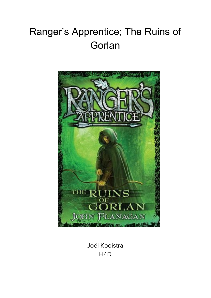# Ranger's Apprentice; The Ruins of **Gorlan**



Joël Kooistra H4D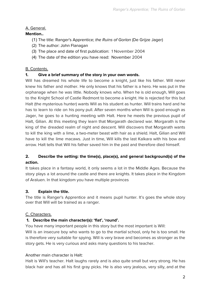# A. General.

## **Mention..**

- (1) The title: Ranger's Apprentice; the Ruins of Gorlan (De Grijze Jager)
- (2) The author: John Flanagan
- (3) The place and date of first publication: 1 November 2004
- (4) The date of the edition you have read: November 2004

### B. Contents.

### **1. Give a brief summary of the story in your own words.**

Will has dreamed his whole life to become a knight, just like his father. Will never knew his father and mother. He only knows that his father is a hero. He was put in the orphanage when he was little. Nobody knows who. When he is old enough, Will goes to the Knight School of Castle Redmont to become a knight. He is rejected for this but Halt (the mysterious hunter) wants Will as his student as hunter. Will trains hard and he has to learn to ride on his pony pull. After seven months when Will is good enough as Jager, he goes to a hunting meeting with Halt. Here he meets the previous pupil of Halt, Gilian. At this meeting they learn that Morgarath declared war. Morgarath is the king of the dreaded realm of night and descent. Will discovers that Morgarath wants to kill the king with a lime, a two-meter beast with hair as a shield. Halt, Gilian and Will have to kill the lime macaws. Just in time, Will kills the last Kalkara with his bow and arrow. Halt tells that Will his father saved him in the past and therefore died himself.

## **2. Describe the setting: the time(s), place(s), and general background(s) of the action.**

It takes place in a fantasy world, it only seems a lot in the Middle Ages. Because the story plays a lot around the castle and there are knights. It takes place in the Kingdom of Araluen. In that kingdom you have multiple provinces

### **3. Explain the title.**

The title is Ranger's Apprentice and it means pupil hunter. It's goes the whole story over that Will will be trained as a ranger.

### C. Characters.

## **1. Describe the main character(s): 'flat', 'round'.**

You have many important people in this story but the most important is Will: Will is an insecure boy who wants to go to the martial school, only he is too small. He is therefore very suitable for spying. Will is very brave and becomes as stronger as the story gets. He is very curious and asks many questions to his teacher.

### Another main character is Halt:

Halt is Will's teacher. Halt laughs rarely and is also quite small but very strong. He has black hair and has all his first gray picks. He is also very jealous, very silly, and at the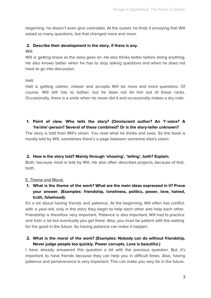beginning, he doesn't even give comrades. At the outset, he finds it annoying that Will asked so many questions, but that changed more and more.

#### **2. Describe their development in the story, if there is any.**

Will:

Will is getting brave as the story goes on. He also thinks better before doing anything. He also knows better when he has to stop asking questions and when he does not have to go into discussion.

Halt:

Halt is getting calmer, relaxer and accepts Will be more and more questions. Of course, Will still has to bother, but he does not let him out of those rocks. Occasionally, there is a smile when he never did it and occasionally makes a dry note.

#### **1. Point of view. Who tells the story? (Omniscient author? An 'I'-voice? A 'he/she'-person? Several of these combined? Or is the story-teller unknown?**

The story is told from Will's vision. You read what he thinks and sees. So the book is mostly told by Will, sometimes there's a page between someone else's vision.

#### **2. How is the story told? Mainly through 'showing', 'telling', both? Explain.**

Both, because most is told by Will. He also often describes projects, because of that, both.

#### E. Theme and Moral.

**1. What is the theme of the work? What are the main ideas expressed in it? Prove your answer. (Examples: friendship, loneliness, politics, power, love, hatred, truth, falsehood).**

It's a lot about having friends and patience. At the beginning, Will often has conflict with a year-old, only in the story they begin to help each other and help each other. Friendship is therefore very important. Patience is also important, Will had to practice and train a lot but eventually you get there. Also, you must be patient with the waiting for the good in the future. So having patience can make it happen.

### **2. What is the moral of the work? (Examples: Nobody can do without friendship. Never judge people too quickly. Power corrupts. Love is beautiful.)**

I have already answered this question a bit with the previous question. But, it's important to have friends because they can help you in difficult times. Also, having patience and perseverance is very important. This can make you very far in the future.